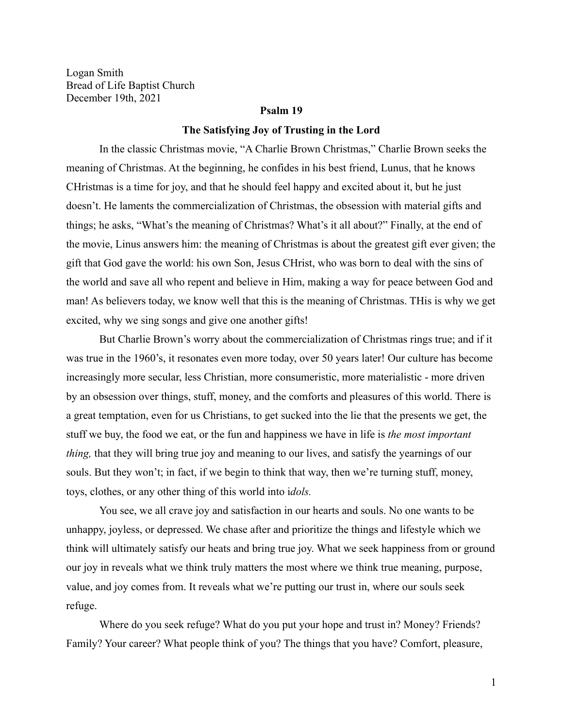Logan Smith Bread of Life Baptist Church December 19th, 2021

#### **Psalm 19**

#### **The Satisfying Joy of Trusting in the Lord**

In the classic Christmas movie, "A Charlie Brown Christmas," Charlie Brown seeks the meaning of Christmas. At the beginning, he confides in his best friend, Lunus, that he knows CHristmas is a time for joy, and that he should feel happy and excited about it, but he just doesn't. He laments the commercialization of Christmas, the obsession with material gifts and things; he asks, "What's the meaning of Christmas? What's it all about?" Finally, at the end of the movie, Linus answers him: the meaning of Christmas is about the greatest gift ever given; the gift that God gave the world: his own Son, Jesus CHrist, who was born to deal with the sins of the world and save all who repent and believe in Him, making a way for peace between God and man! As believers today, we know well that this is the meaning of Christmas. THis is why we get excited, why we sing songs and give one another gifts!

But Charlie Brown's worry about the commercialization of Christmas rings true; and if it was true in the 1960's, it resonates even more today, over 50 years later! Our culture has become increasingly more secular, less Christian, more consumeristic, more materialistic - more driven by an obsession over things, stuff, money, and the comforts and pleasures of this world. There is a great temptation, even for us Christians, to get sucked into the lie that the presents we get, the stuff we buy, the food we eat, or the fun and happiness we have in life is *the most important thing*, that they will bring true joy and meaning to our lives, and satisfy the yearnings of our souls. But they won't; in fact, if we begin to think that way, then we're turning stuff, money, toys, clothes, or any other thing of this world into i*dols.*

You see, we all crave joy and satisfaction in our hearts and souls. No one wants to be unhappy, joyless, or depressed. We chase after and prioritize the things and lifestyle which we think will ultimately satisfy our heats and bring true joy. What we seek happiness from or ground our joy in reveals what we think truly matters the most where we think true meaning, purpose, value, and joy comes from. It reveals what we're putting our trust in, where our souls seek refuge.

Where do you seek refuge? What do you put your hope and trust in? Money? Friends? Family? Your career? What people think of you? The things that you have? Comfort, pleasure,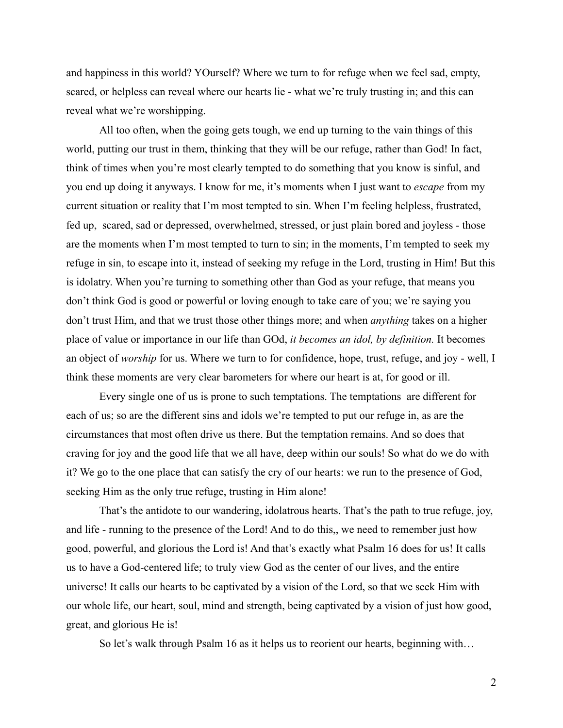and happiness in this world? YOurself? Where we turn to for refuge when we feel sad, empty, scared, or helpless can reveal where our hearts lie - what we're truly trusting in; and this can reveal what we're worshipping.

All too often, when the going gets tough, we end up turning to the vain things of this world, putting our trust in them, thinking that they will be our refuge, rather than God! In fact, think of times when you're most clearly tempted to do something that you know is sinful, and you end up doing it anyways. I know for me, it's moments when I just want to *escape* from my current situation or reality that I'm most tempted to sin. When I'm feeling helpless, frustrated, fed up, scared, sad or depressed, overwhelmed, stressed, or just plain bored and joyless - those are the moments when I'm most tempted to turn to sin; in the moments, I'm tempted to seek my refuge in sin, to escape into it, instead of seeking my refuge in the Lord, trusting in Him! But this is idolatry. When you're turning to something other than God as your refuge, that means you don't think God is good or powerful or loving enough to take care of you; we're saying you don't trust Him, and that we trust those other things more; and when *anything* takes on a higher place of value or importance in our life than GOd, *it becomes an idol, by definition.* It becomes an object of *worship* for us. Where we turn to for confidence, hope, trust, refuge, and joy - well, I think these moments are very clear barometers for where our heart is at, for good or ill.

Every single one of us is prone to such temptations. The temptations are different for each of us; so are the different sins and idols we're tempted to put our refuge in, as are the circumstances that most often drive us there. But the temptation remains. And so does that craving for joy and the good life that we all have, deep within our souls! So what do we do with it? We go to the one place that can satisfy the cry of our hearts: we run to the presence of God, seeking Him as the only true refuge, trusting in Him alone!

That's the antidote to our wandering, idolatrous hearts. That's the path to true refuge, joy, and life - running to the presence of the Lord! And to do this,, we need to remember just how good, powerful, and glorious the Lord is! And that's exactly what Psalm 16 does for us! It calls us to have a God-centered life; to truly view God as the center of our lives, and the entire universe! It calls our hearts to be captivated by a vision of the Lord, so that we seek Him with our whole life, our heart, soul, mind and strength, being captivated by a vision of just how good, great, and glorious He is!

So let's walk through Psalm 16 as it helps us to reorient our hearts, beginning with…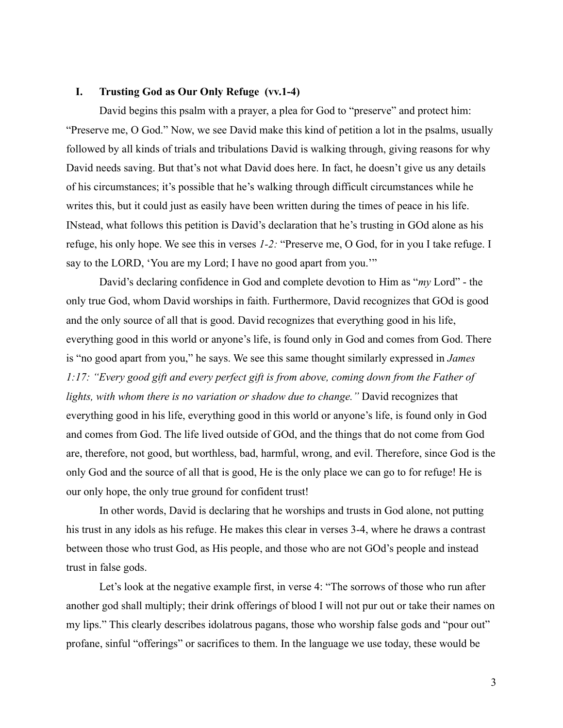# **I. Trusting God as Our Only Refuge (vv.1-4)**

David begins this psalm with a prayer, a plea for God to "preserve" and protect him: "Preserve me, O God." Now, we see David make this kind of petition a lot in the psalms, usually followed by all kinds of trials and tribulations David is walking through, giving reasons for why David needs saving. But that's not what David does here. In fact, he doesn't give us any details of his circumstances; it's possible that he's walking through difficult circumstances while he writes this, but it could just as easily have been written during the times of peace in his life. INstead, what follows this petition is David's declaration that he's trusting in GOd alone as his refuge, his only hope. We see this in verses *1-2:* "Preserve me, O God, for in you I take refuge. I say to the LORD, 'You are my Lord; I have no good apart from you.'"

David's declaring confidence in God and complete devotion to Him as "*my* Lord" - the only true God, whom David worships in faith. Furthermore, David recognizes that GOd is good and the only source of all that is good. David recognizes that everything good in his life, everything good in this world or anyone's life, is found only in God and comes from God. There is "no good apart from you," he says. We see this same thought similarly expressed in *James 1:17: "Every good gift and every perfect gift is from above, coming down from the Father of lights, with whom there is no variation or shadow due to change."* David recognizes that everything good in his life, everything good in this world or anyone's life, is found only in God and comes from God. The life lived outside of GOd, and the things that do not come from God are, therefore, not good, but worthless, bad, harmful, wrong, and evil. Therefore, since God is the only God and the source of all that is good, He is the only place we can go to for refuge! He is our only hope, the only true ground for confident trust!

In other words, David is declaring that he worships and trusts in God alone, not putting his trust in any idols as his refuge. He makes this clear in verses 3-4, where he draws a contrast between those who trust God, as His people, and those who are not GOd's people and instead trust in false gods.

Let's look at the negative example first, in verse 4: "The sorrows of those who run after another god shall multiply; their drink offerings of blood I will not pur out or take their names on my lips." This clearly describes idolatrous pagans, those who worship false gods and "pour out" profane, sinful "offerings" or sacrifices to them. In the language we use today, these would be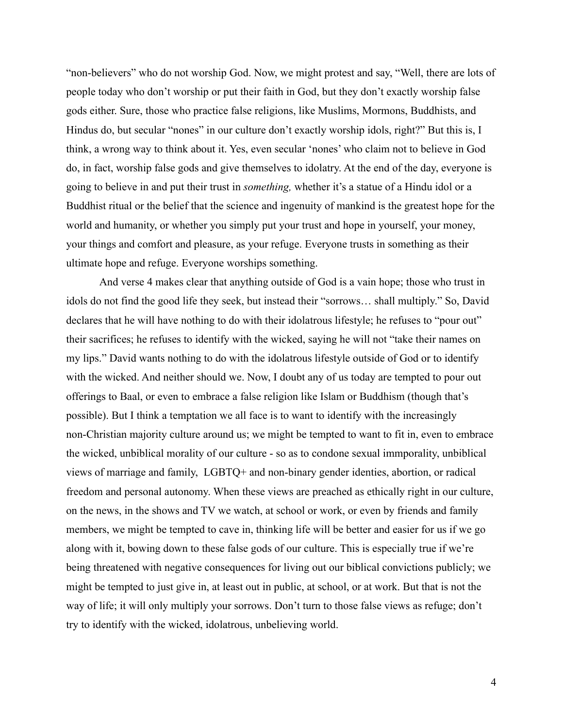"non-believers" who do not worship God. Now, we might protest and say, "Well, there are lots of people today who don't worship or put their faith in God, but they don't exactly worship false gods either. Sure, those who practice false religions, like Muslims, Mormons, Buddhists, and Hindus do, but secular "nones" in our culture don't exactly worship idols, right?" But this is, I think, a wrong way to think about it. Yes, even secular 'nones' who claim not to believe in God do, in fact, worship false gods and give themselves to idolatry. At the end of the day, everyone is going to believe in and put their trust in *something,* whether it's a statue of a Hindu idol or a Buddhist ritual or the belief that the science and ingenuity of mankind is the greatest hope for the world and humanity, or whether you simply put your trust and hope in yourself, your money, your things and comfort and pleasure, as your refuge. Everyone trusts in something as their ultimate hope and refuge. Everyone worships something.

And verse 4 makes clear that anything outside of God is a vain hope; those who trust in idols do not find the good life they seek, but instead their "sorrows… shall multiply." So, David declares that he will have nothing to do with their idolatrous lifestyle; he refuses to "pour out" their sacrifices; he refuses to identify with the wicked, saying he will not "take their names on my lips." David wants nothing to do with the idolatrous lifestyle outside of God or to identify with the wicked. And neither should we. Now, I doubt any of us today are tempted to pour out offerings to Baal, or even to embrace a false religion like Islam or Buddhism (though that's possible). But I think a temptation we all face is to want to identify with the increasingly non-Christian majority culture around us; we might be tempted to want to fit in, even to embrace the wicked, unbiblical morality of our culture - so as to condone sexual immporality, unbiblical views of marriage and family, LGBTQ+ and non-binary gender identies, abortion, or radical freedom and personal autonomy. When these views are preached as ethically right in our culture, on the news, in the shows and TV we watch, at school or work, or even by friends and family members, we might be tempted to cave in, thinking life will be better and easier for us if we go along with it, bowing down to these false gods of our culture. This is especially true if we're being threatened with negative consequences for living out our biblical convictions publicly; we might be tempted to just give in, at least out in public, at school, or at work. But that is not the way of life; it will only multiply your sorrows. Don't turn to those false views as refuge; don't try to identify with the wicked, idolatrous, unbelieving world.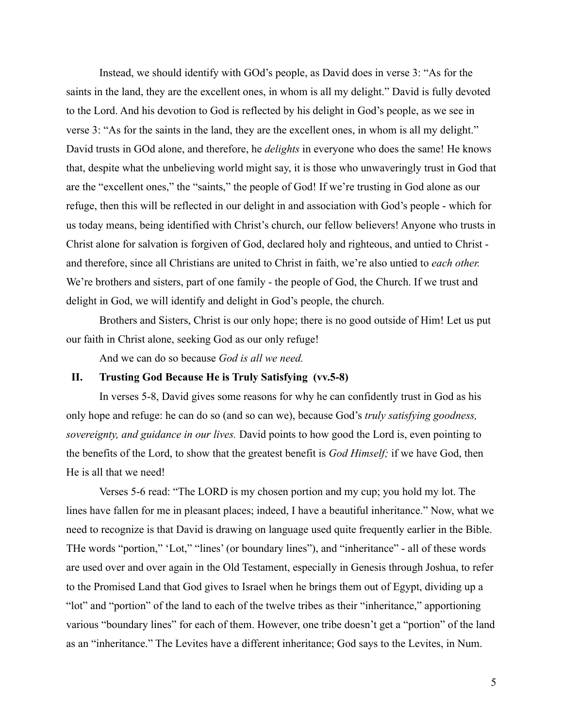Instead, we should identify with GOd's people, as David does in verse 3: "As for the saints in the land, they are the excellent ones, in whom is all my delight." David is fully devoted to the Lord. And his devotion to God is reflected by his delight in God's people, as we see in verse 3: "As for the saints in the land, they are the excellent ones, in whom is all my delight." David trusts in GOd alone, and therefore, he *delights* in everyone who does the same! He knows that, despite what the unbelieving world might say, it is those who unwaveringly trust in God that are the "excellent ones," the "saints," the people of God! If we're trusting in God alone as our refuge, then this will be reflected in our delight in and association with God's people - which for us today means, being identified with Christ's church, our fellow believers! Anyone who trusts in Christ alone for salvation is forgiven of God, declared holy and righteous, and untied to Christ and therefore, since all Christians are united to Christ in faith, we're also untied to *each other.* We're brothers and sisters, part of one family - the people of God, the Church. If we trust and delight in God, we will identify and delight in God's people, the church.

Brothers and Sisters, Christ is our only hope; there is no good outside of Him! Let us put our faith in Christ alone, seeking God as our only refuge!

And we can do so because *God is all we need.*

# **II. Trusting God Because He is Truly Satisfying (vv.5-8)**

In verses 5-8, David gives some reasons for why he can confidently trust in God as his only hope and refuge: he can do so (and so can we), because God's *truly satisfying goodness, sovereignty, and guidance in our lives.* David points to how good the Lord is, even pointing to the benefits of the Lord, to show that the greatest benefit is *God Himself;* if we have God, then He is all that we need!

Verses 5-6 read: "The LORD is my chosen portion and my cup; you hold my lot. The lines have fallen for me in pleasant places; indeed, I have a beautiful inheritance." Now, what we need to recognize is that David is drawing on language used quite frequently earlier in the Bible. THe words "portion," 'Lot," "lines' (or boundary lines"), and "inheritance" - all of these words are used over and over again in the Old Testament, especially in Genesis through Joshua, to refer to the Promised Land that God gives to Israel when he brings them out of Egypt, dividing up a "lot" and "portion" of the land to each of the twelve tribes as their "inheritance," apportioning various "boundary lines" for each of them. However, one tribe doesn't get a "portion" of the land as an "inheritance." The Levites have a different inheritance; God says to the Levites, in Num.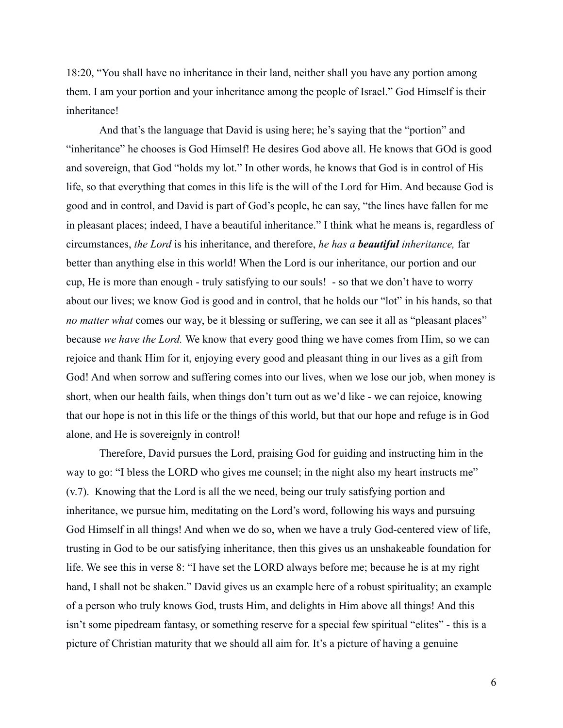18:20, "You shall have no inheritance in their land, neither shall you have any portion among them. I am your portion and your inheritance among the people of Israel." God Himself is their inheritance!

And that's the language that David is using here; he's saying that the "portion" and "inheritance" he chooses is God Himself! He desires God above all. He knows that GOd is good and sovereign, that God "holds my lot." In other words, he knows that God is in control of His life, so that everything that comes in this life is the will of the Lord for Him. And because God is good and in control, and David is part of God's people, he can say, "the lines have fallen for me in pleasant places; indeed, I have a beautiful inheritance." I think what he means is, regardless of circumstances, *the Lord* is his inheritance, and therefore, *he has a beautiful inheritance,* far better than anything else in this world! When the Lord is our inheritance, our portion and our cup, He is more than enough - truly satisfying to our souls! - so that we don't have to worry about our lives; we know God is good and in control, that he holds our "lot" in his hands, so that *no matter what* comes our way, be it blessing or suffering, we can see it all as "pleasant places" because *we have the Lord.* We know that every good thing we have comes from Him, so we can rejoice and thank Him for it, enjoying every good and pleasant thing in our lives as a gift from God! And when sorrow and suffering comes into our lives, when we lose our job, when money is short, when our health fails, when things don't turn out as we'd like - we can rejoice, knowing that our hope is not in this life or the things of this world, but that our hope and refuge is in God alone, and He is sovereignly in control!

Therefore, David pursues the Lord, praising God for guiding and instructing him in the way to go: "I bless the LORD who gives me counsel; in the night also my heart instructs me" (v.7). Knowing that the Lord is all the we need, being our truly satisfying portion and inheritance, we pursue him, meditating on the Lord's word, following his ways and pursuing God Himself in all things! And when we do so, when we have a truly God-centered view of life, trusting in God to be our satisfying inheritance, then this gives us an unshakeable foundation for life. We see this in verse 8: "I have set the LORD always before me; because he is at my right hand, I shall not be shaken." David gives us an example here of a robust spirituality; an example of a person who truly knows God, trusts Him, and delights in Him above all things! And this isn't some pipedream fantasy, or something reserve for a special few spiritual "elites" - this is a picture of Christian maturity that we should all aim for. It's a picture of having a genuine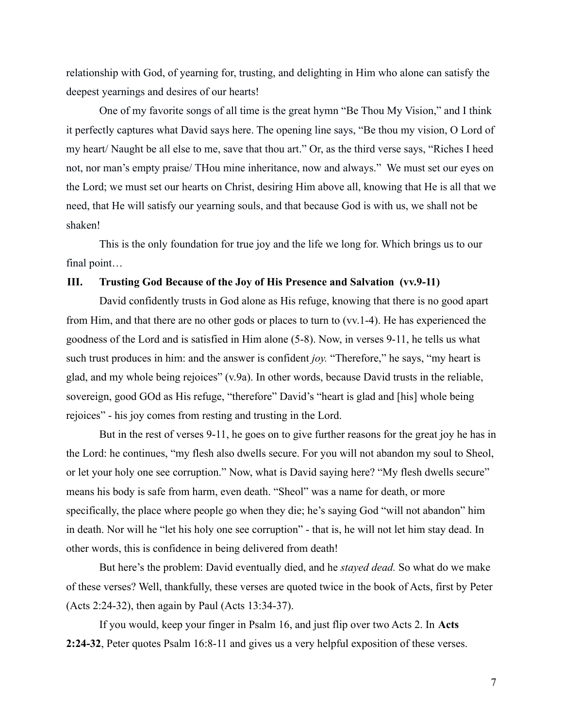relationship with God, of yearning for, trusting, and delighting in Him who alone can satisfy the deepest yearnings and desires of our hearts!

One of my favorite songs of all time is the great hymn "Be Thou My Vision," and I think it perfectly captures what David says here. The opening line says, "Be thou my vision, O Lord of my heart/ Naught be all else to me, save that thou art." Or, as the third verse says, "Riches I heed not, nor man's empty praise/ THou mine inheritance, now and always." We must set our eyes on the Lord; we must set our hearts on Christ, desiring Him above all, knowing that He is all that we need, that He will satisfy our yearning souls, and that because God is with us, we shall not be shaken!

This is the only foundation for true joy and the life we long for. Which brings us to our final point…

### **III. Trusting God Because of the Joy of His Presence and Salvation (vv.9-11)**

David confidently trusts in God alone as His refuge, knowing that there is no good apart from Him, and that there are no other gods or places to turn to (vv.1-4). He has experienced the goodness of the Lord and is satisfied in Him alone (5-8). Now, in verses 9-11, he tells us what such trust produces in him: and the answer is confident *joy.* "Therefore," he says, "my heart is glad, and my whole being rejoices" (v.9a). In other words, because David trusts in the reliable, sovereign, good GOd as His refuge, "therefore" David's "heart is glad and [his] whole being rejoices" - his joy comes from resting and trusting in the Lord.

But in the rest of verses 9-11, he goes on to give further reasons for the great joy he has in the Lord: he continues, "my flesh also dwells secure. For you will not abandon my soul to Sheol, or let your holy one see corruption." Now, what is David saying here? "My flesh dwells secure" means his body is safe from harm, even death. "Sheol" was a name for death, or more specifically, the place where people go when they die; he's saying God "will not abandon" him in death. Nor will he "let his holy one see corruption" - that is, he will not let him stay dead. In other words, this is confidence in being delivered from death!

But here's the problem: David eventually died, and he *stayed dead.* So what do we make of these verses? Well, thankfully, these verses are quoted twice in the book of Acts, first by Peter (Acts 2:24-32), then again by Paul (Acts 13:34-37).

If you would, keep your finger in Psalm 16, and just flip over two Acts 2. In **Acts 2:24-32**, Peter quotes Psalm 16:8-11 and gives us a very helpful exposition of these verses.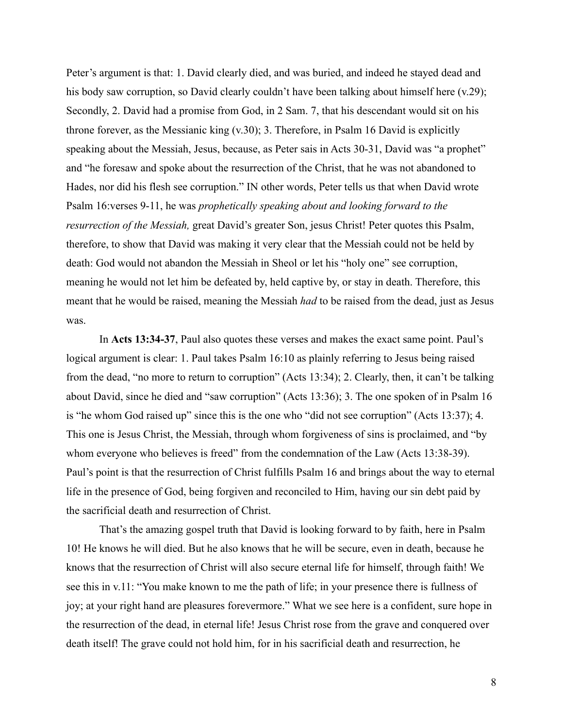Peter's argument is that: 1. David clearly died, and was buried, and indeed he stayed dead and his body saw corruption, so David clearly couldn't have been talking about himself here (v.29); Secondly, 2. David had a promise from God, in 2 Sam. 7, that his descendant would sit on his throne forever, as the Messianic king (v.30); 3. Therefore, in Psalm 16 David is explicitly speaking about the Messiah, Jesus, because, as Peter sais in Acts 30-31, David was "a prophet" and "he foresaw and spoke about the resurrection of the Christ, that he was not abandoned to Hades, nor did his flesh see corruption." IN other words, Peter tells us that when David wrote Psalm 16:verses 9-11, he was *prophetically speaking about and looking forward to the resurrection of the Messiah,* great David's greater Son, jesus Christ! Peter quotes this Psalm, therefore, to show that David was making it very clear that the Messiah could not be held by death: God would not abandon the Messiah in Sheol or let his "holy one" see corruption, meaning he would not let him be defeated by, held captive by, or stay in death. Therefore, this meant that he would be raised, meaning the Messiah *had* to be raised from the dead, just as Jesus was.

In **Acts 13:34-37**, Paul also quotes these verses and makes the exact same point. Paul's logical argument is clear: 1. Paul takes Psalm 16:10 as plainly referring to Jesus being raised from the dead, "no more to return to corruption" (Acts 13:34); 2. Clearly, then, it can't be talking about David, since he died and "saw corruption" (Acts 13:36); 3. The one spoken of in Psalm 16 is "he whom God raised up" since this is the one who "did not see corruption" (Acts 13:37); 4. This one is Jesus Christ, the Messiah, through whom forgiveness of sins is proclaimed, and "by whom everyone who believes is freed" from the condemnation of the Law (Acts 13:38-39). Paul's point is that the resurrection of Christ fulfills Psalm 16 and brings about the way to eternal life in the presence of God, being forgiven and reconciled to Him, having our sin debt paid by the sacrificial death and resurrection of Christ.

That's the amazing gospel truth that David is looking forward to by faith, here in Psalm 10! He knows he will died. But he also knows that he will be secure, even in death, because he knows that the resurrection of Christ will also secure eternal life for himself, through faith! We see this in v.11: "You make known to me the path of life; in your presence there is fullness of joy; at your right hand are pleasures forevermore." What we see here is a confident, sure hope in the resurrection of the dead, in eternal life! Jesus Christ rose from the grave and conquered over death itself! The grave could not hold him, for in his sacrificial death and resurrection, he